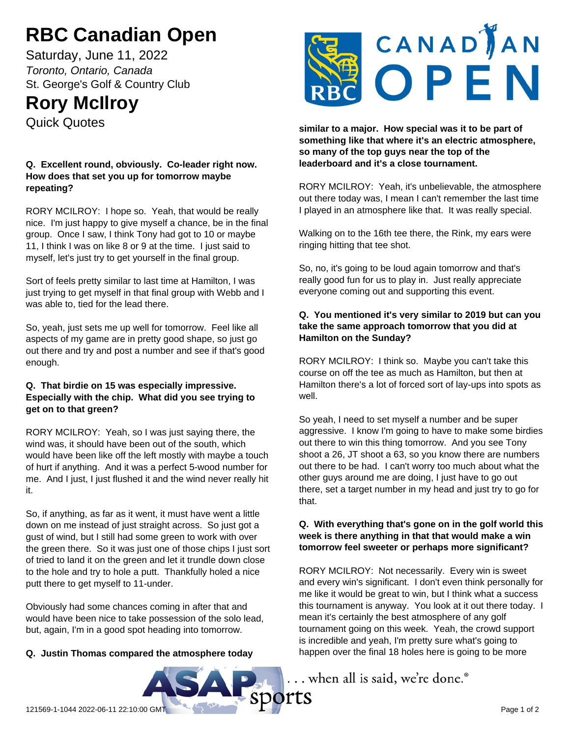# **RBC Canadian Open**

Saturday, June 11, 2022 *Toronto, Ontario, Canada* St. George's Golf & Country Club

## **Rory McIlroy**

Quick Quotes

## **Q. Excellent round, obviously. Co-leader right now. How does that set you up for tomorrow maybe repeating?**

RORY MCILROY: I hope so. Yeah, that would be really nice. I'm just happy to give myself a chance, be in the final group. Once I saw, I think Tony had got to 10 or maybe 11, I think I was on like 8 or 9 at the time. I just said to myself, let's just try to get yourself in the final group.

Sort of feels pretty similar to last time at Hamilton, I was just trying to get myself in that final group with Webb and I was able to, tied for the lead there.

So, yeah, just sets me up well for tomorrow. Feel like all aspects of my game are in pretty good shape, so just go out there and try and post a number and see if that's good enough.

## **Q. That birdie on 15 was especially impressive. Especially with the chip. What did you see trying to get on to that green?**

RORY MCILROY: Yeah, so I was just saying there, the wind was, it should have been out of the south, which would have been like off the left mostly with maybe a touch of hurt if anything. And it was a perfect 5-wood number for me. And I just, I just flushed it and the wind never really hit it.

So, if anything, as far as it went, it must have went a little down on me instead of just straight across. So just got a gust of wind, but I still had some green to work with over the green there. So it was just one of those chips I just sort of tried to land it on the green and let it trundle down close to the hole and try to hole a putt. Thankfully holed a nice putt there to get myself to 11-under.

Obviously had some chances coming in after that and would have been nice to take possession of the solo lead, but, again, I'm in a good spot heading into tomorrow.

## **Q. Justin Thomas compared the atmosphere today**



**similar to a major. How special was it to be part of something like that where it's an electric atmosphere, so many of the top guys near the top of the leaderboard and it's a close tournament.**

RORY MCILROY: Yeah, it's unbelievable, the atmosphere out there today was, I mean I can't remember the last time I played in an atmosphere like that. It was really special.

Walking on to the 16th tee there, the Rink, my ears were ringing hitting that tee shot.

So, no, it's going to be loud again tomorrow and that's really good fun for us to play in. Just really appreciate everyone coming out and supporting this event.

## **Q. You mentioned it's very similar to 2019 but can you take the same approach tomorrow that you did at Hamilton on the Sunday?**

RORY MCILROY: I think so. Maybe you can't take this course on off the tee as much as Hamilton, but then at Hamilton there's a lot of forced sort of lay-ups into spots as well.

So yeah, I need to set myself a number and be super aggressive. I know I'm going to have to make some birdies out there to win this thing tomorrow. And you see Tony shoot a 26, JT shoot a 63, so you know there are numbers out there to be had. I can't worry too much about what the other guys around me are doing, I just have to go out there, set a target number in my head and just try to go for that.

## **Q. With everything that's gone on in the golf world this week is there anything in that that would make a win tomorrow feel sweeter or perhaps more significant?**

RORY MCILROY: Not necessarily. Every win is sweet and every win's significant. I don't even think personally for me like it would be great to win, but I think what a success this tournament is anyway. You look at it out there today. I mean it's certainly the best atmosphere of any golf tournament going on this week. Yeah, the crowd support is incredible and yeah, I'm pretty sure what's going to happen over the final 18 holes here is going to be more

... when all is said, we're done.<sup>®</sup>